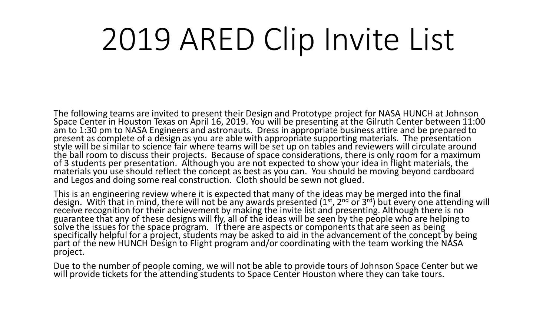## 2019 ARED Clip Invite List

The following teams are invited to present their Design and Prototype project for NASA HUNCH at Johnson Space Center in Houston Texas on April 16, 2019. You will be presenting at the Gilruth Center between 11:00 am to 1:30 pm to NASA Engineers and astronauts. Dress in appropriate business attire and be prepared to present as complete of a design as you are able with appropriate supporting materials. The presentation style will be similar to science fair where teams will be set up on tables and reviewers will circulate around the ball room to discuss their projects. Because of space considerations, there is only room for a maximum of 3 students per presentation. Although you are not expected to show your idea in flight materials, the materials you use should reflect the concept as best as you can. You should be moving beyond cardboard and Legos and doing some real construction. Cloth should be sewn not glued.

This is an engineering review where it is expected that many of the ideas may be merged into the final design. With that in mind, there will not be any awards presented (1<sup>st</sup>, 2<sup>nd</sup> or 3<sup>rd</sup>) but every one attending will receive recognition for their achievement by making the invite list and presenting. Although there is no guarantee that any of these designs will fly, all of the ideas will be seen by the people who are helping to solve the issues for the space program. If there are aspects or components that are seen as being specifically helpful for a project, students may be asked to aid in the advancement of the concept by being part of the new HUNCH Design to Flight program and/or coordinating with the team working the NÁSA project.

Due to the number of people coming, we will not be able to provide tours of Johnson Space Center but we will provide tickets for the attending students to Space Center Houston where they can take tours.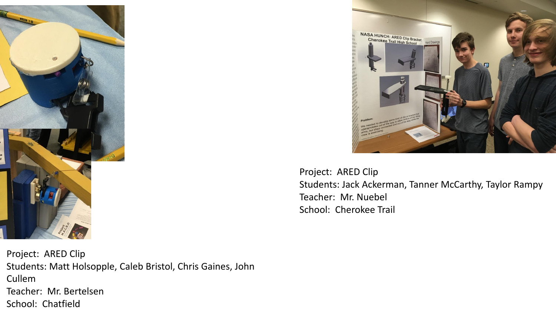

Project: ARED Clip Students: Matt Holsopple, Caleb Bristol, Chris Gaines, John Cullem Teacher: Mr. Bertelsen School: Chatfield



Project: ARED Clip Students: Jack Ackerman, Tanner McCarthy, Taylor Rampy Teacher: Mr. Nuebel School: Cherokee Trail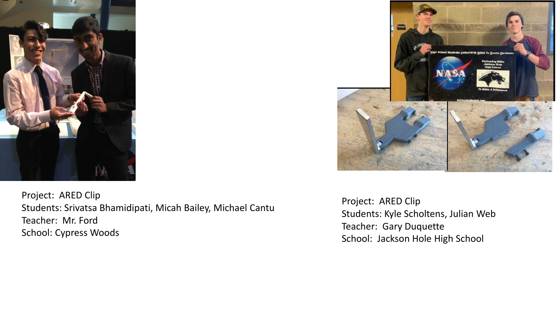

Project: ARED Clip Students: Srivatsa Bhamidipati, Micah Bailey, Michael Cantu Teacher: Mr. Ford School: Cypress Woods



Project: ARED Clip Students: Kyle Scholtens, Julian Web Teacher: Gary Duquette School: Jackson Hole High School